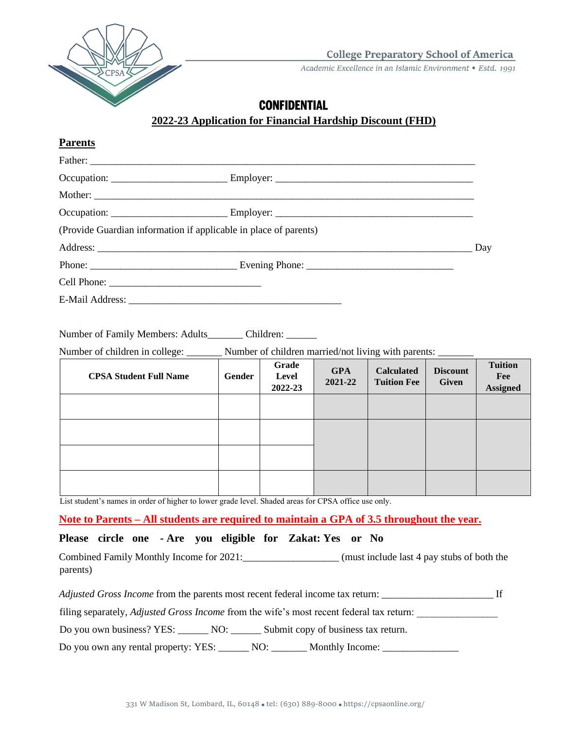

**College Preparatory School of America** 

Academic Excellence in an Islamic Environment • Estd. 1991

## **CONFIDENTIAL**

## **2022-23 Application for Financial Hardship Discount (FHD)**

| <b>Parents</b>                                                                                      |        |                           |                       |                                         |                                 |                                          |
|-----------------------------------------------------------------------------------------------------|--------|---------------------------|-----------------------|-----------------------------------------|---------------------------------|------------------------------------------|
|                                                                                                     |        |                           |                       |                                         |                                 |                                          |
|                                                                                                     |        |                           |                       |                                         |                                 |                                          |
|                                                                                                     |        |                           |                       |                                         |                                 |                                          |
|                                                                                                     |        |                           |                       |                                         |                                 |                                          |
| (Provide Guardian information if applicable in place of parents)                                    |        |                           |                       |                                         |                                 |                                          |
|                                                                                                     |        |                           |                       |                                         |                                 | Day                                      |
|                                                                                                     |        |                           |                       |                                         |                                 |                                          |
|                                                                                                     |        |                           |                       |                                         |                                 |                                          |
|                                                                                                     |        |                           |                       |                                         |                                 |                                          |
|                                                                                                     |        |                           |                       |                                         |                                 |                                          |
| Number of Family Members: Adults Children:                                                          |        |                           |                       |                                         |                                 |                                          |
| Number of children in college: ________ Number of children married/not living with parents: _______ |        |                           |                       |                                         |                                 |                                          |
| <b>CPSA Student Full Name</b>                                                                       | Gender | Grade<br>Level<br>2022-23 | <b>GPA</b><br>2021-22 | <b>Calculated</b><br><b>Tuition Fee</b> | <b>Discount</b><br><b>Given</b> | <b>Tuition</b><br>Fee<br><b>Assigned</b> |
|                                                                                                     |        |                           |                       |                                         |                                 |                                          |
|                                                                                                     |        |                           |                       |                                         |                                 |                                          |
|                                                                                                     |        |                           |                       |                                         |                                 |                                          |
|                                                                                                     |        |                           |                       |                                         |                                 |                                          |

List student's names in order of higher to lower grade level. Shaded areas for CPSA office use only.

**Note to Parents – All students are required to maintain a GPA of 3.5 throughout the year.**

### **Please circle one - Are you eligible for Zakat: Yes or No**

Combined Family Monthly Income for 2021:\_\_\_\_\_\_\_\_\_\_\_\_\_\_\_\_\_\_\_ (must include last 4 pay stubs of both the parents)

*Adjusted Gross Income* from the parents most recent federal income tax return: \_\_\_\_\_\_\_\_\_\_\_\_\_\_\_\_\_\_\_\_\_\_\_\_\_\_\_\_\_\_\_\_\_ If

filing separately, *Adjusted Gross Income* from the wife's most recent federal tax return:

Do you own business? YES: NO: Submit copy of business tax return.

Do you own any rental property: YES: \_\_\_\_\_\_ NO: \_\_\_\_\_\_\_ Monthly Income: \_\_\_\_\_\_\_\_\_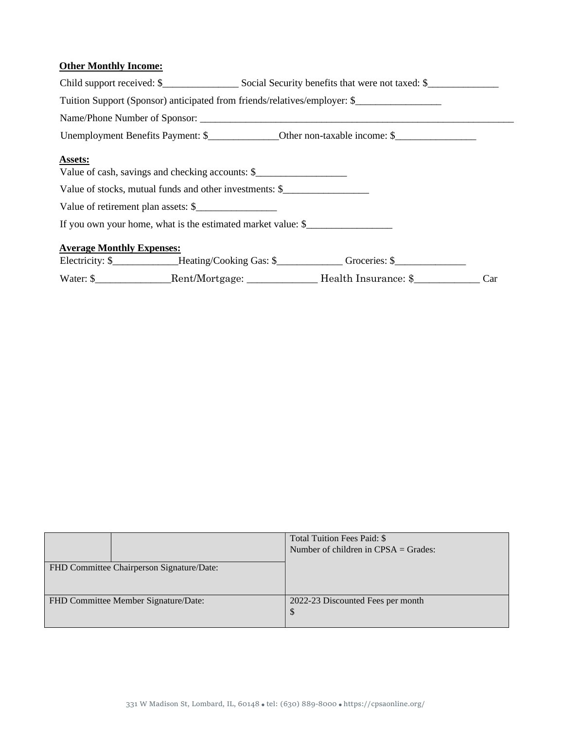## **Other Monthly Income:**

| Tuition Support (Sponsor) anticipated from friends/relatives/employer: \$ |  |  |                                                                                                         |  |  |
|---------------------------------------------------------------------------|--|--|---------------------------------------------------------------------------------------------------------|--|--|
|                                                                           |  |  |                                                                                                         |  |  |
|                                                                           |  |  |                                                                                                         |  |  |
| Assets:<br>Value of cash, savings and checking accounts: \$               |  |  |                                                                                                         |  |  |
| Value of stocks, mutual funds and other investments: \$                   |  |  |                                                                                                         |  |  |
| Value of retirement plan assets: \$                                       |  |  |                                                                                                         |  |  |
| If you own your home, what is the estimated market value: \$              |  |  |                                                                                                         |  |  |
| <b>Average Monthly Expenses:</b>                                          |  |  |                                                                                                         |  |  |
|                                                                           |  |  | Electricity: \$____________Heating/Cooking Gas: \$_____________Groceries: \$___________________________ |  |  |
|                                                                           |  |  | Water: \$_____________________Rent/Mortgage: ____________________Health Insurance: \$______________Car  |  |  |

|                                           | Total Tuition Fees Paid: \$             |  |  |
|-------------------------------------------|-----------------------------------------|--|--|
|                                           | Number of children in $CPSA = Grades$ : |  |  |
| FHD Committee Chairperson Signature/Date: |                                         |  |  |
| FHD Committee Member Signature/Date:      | 2022-23 Discounted Fees per month       |  |  |